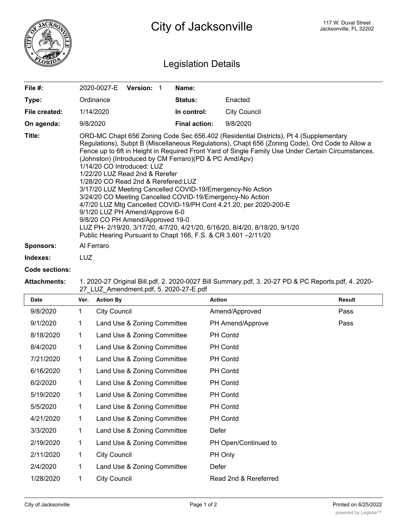

## Legislation Details

| File $#$ :       | 2020-0027-E                                                                                                                                                                                                                                                                                                                                                                                                                                                                                                                                                                                                                                                                                                                                                                                                                                                                              | <b>Version: 1</b> |  | Name:                |                     |  |
|------------------|------------------------------------------------------------------------------------------------------------------------------------------------------------------------------------------------------------------------------------------------------------------------------------------------------------------------------------------------------------------------------------------------------------------------------------------------------------------------------------------------------------------------------------------------------------------------------------------------------------------------------------------------------------------------------------------------------------------------------------------------------------------------------------------------------------------------------------------------------------------------------------------|-------------------|--|----------------------|---------------------|--|
| Type:            | Ordinance                                                                                                                                                                                                                                                                                                                                                                                                                                                                                                                                                                                                                                                                                                                                                                                                                                                                                |                   |  | <b>Status:</b>       | Enacted             |  |
| File created:    | 1/14/2020                                                                                                                                                                                                                                                                                                                                                                                                                                                                                                                                                                                                                                                                                                                                                                                                                                                                                |                   |  | In control:          | <b>City Council</b> |  |
| On agenda:       | 9/8/2020                                                                                                                                                                                                                                                                                                                                                                                                                                                                                                                                                                                                                                                                                                                                                                                                                                                                                 |                   |  | <b>Final action:</b> | 9/8/2020            |  |
| Title:           | ORD-MC Chapt 656 Zoning Code Sec 656.402 (Residential Districts), Pt 4 (Supplementary<br>Regulations), Subpt B (Miscellaneous Regulations), Chapt 656 (Zoning Code), Ord Code to Allow a<br>Fence up to 6ft in Height in Required Front Yard of Single Family Use Under Certain Circumstances.<br>(Johnston) (Introduced by CM Ferraro)(PD & PC Amd/Apv)<br>1/14/20 CO Introduced: LUZ<br>1/22/20 LUZ Read 2nd & Rerefer<br>1/28/20 CO Read 2nd & Rerefered: LUZ<br>3/17/20 LUZ Meeting Cancelled COVID-19/Emergency-No Action<br>3/24/20 CO Meeting Cancelled COVID-19/Emergency-No Action<br>4/7/20 LUZ Mtg Cancelled COVID-19/PH Cont 4.21.20, per 2020-200-E<br>9/1/20 LUZ PH Amend/Approve 6-0<br>9/8/20 CO PH Amend/Approved 19-0<br>LUZ PH- 2/19/20, 3/17/20, 4/7/20, 4/21/20, 6/16/20, 8/4/20, 8/18/20, 9/1/20<br>Public Hearing Pursuant to Chapt 166, F.S. & CR 3.601 -2/11/20 |                   |  |                      |                     |  |
| <b>Sponsors:</b> | Al Ferraro                                                                                                                                                                                                                                                                                                                                                                                                                                                                                                                                                                                                                                                                                                                                                                                                                                                                               |                   |  |                      |                     |  |
| Indexes:         | LUZ.                                                                                                                                                                                                                                                                                                                                                                                                                                                                                                                                                                                                                                                                                                                                                                                                                                                                                     |                   |  |                      |                     |  |

## **Code sections:**

## **Attachments:** 1. 2020-27 Original Bill.pdf, 2. 2020-0027 Bill Summary.pdf, 3. 20-27 PD & PC Reports.pdf, 4. 2020- 27\_LUZ\_Amendment.pdf, 5. 2020-27-E.pdf

| <b>Date</b> | Ver.         | <b>Action By</b>            | <b>Action</b>         | <b>Result</b> |
|-------------|--------------|-----------------------------|-----------------------|---------------|
| 9/8/2020    | $\mathbf{1}$ | <b>City Council</b>         | Amend/Approved        | Pass          |
| 9/1/2020    | 1            | Land Use & Zoning Committee | PH Amend/Approve      | Pass          |
| 8/18/2020   | 1            | Land Use & Zoning Committee | <b>PH Contd</b>       |               |
| 8/4/2020    | 1            | Land Use & Zoning Committee | PH Contd              |               |
| 7/21/2020   | 1            | Land Use & Zoning Committee | <b>PH Contd</b>       |               |
| 6/16/2020   | 1            | Land Use & Zoning Committee | PH Contd              |               |
| 6/2/2020    | 1            | Land Use & Zoning Committee | PH Contd              |               |
| 5/19/2020   | 1            | Land Use & Zoning Committee | PH Contd              |               |
| 5/5/2020    | 1            | Land Use & Zoning Committee | PH Contd              |               |
| 4/21/2020   | 1            | Land Use & Zoning Committee | PH Contd              |               |
| 3/3/2020    | 1            | Land Use & Zoning Committee | Defer                 |               |
| 2/19/2020   | 1            | Land Use & Zoning Committee | PH Open/Continued to  |               |
| 2/11/2020   | 1            | <b>City Council</b>         | PH Only               |               |
| 2/4/2020    | 1            | Land Use & Zoning Committee | Defer                 |               |
| 1/28/2020   | 1            | <b>City Council</b>         | Read 2nd & Rereferred |               |
|             |              |                             |                       |               |